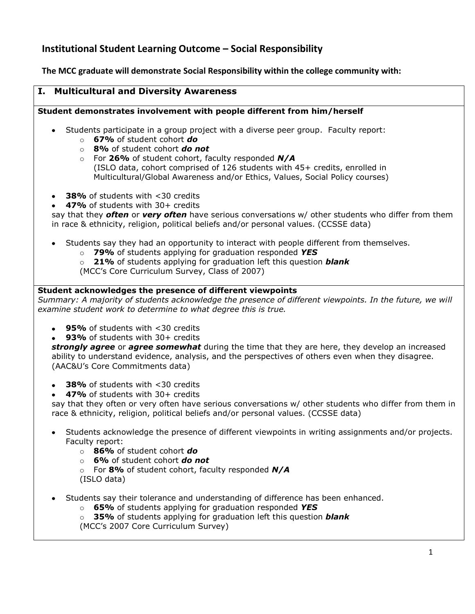# **Institutional Student Learning Outcome – Social Responsibility**

**The MCC graduate will demonstrate Social Responsibility within the college community with:**

# **I. Multicultural and Diversity Awareness**

# **Student demonstrates involvement with people different from him/herself**

- Students participate in a group project with a diverse peer group. Faculty report:
	- o **67%** of student cohort *do*
	- o **8%** of student cohort *do not*
	- o For **26%** of student cohort, faculty responded *N/A* (ISLO data, cohort comprised of 126 students with 45+ credits, enrolled in Multicultural/Global Awareness and/or Ethics, Values, Social Policy courses)
- **38%** of students with <30 credits
- **47%** of students with 30+ credits

say that they *often* or *very often* have serious conversations w/ other students who differ from them in race & ethnicity, religion, political beliefs and/or personal values. (CCSSE data)

- Students say they had an opportunity to interact with people different from themselves.
	- o **79%** of students applying for graduation responded *YES*
	- o **21%** of students applying for graduation left this question *blank*

(MCC's Core Curriculum Survey, Class of 2007)

### **Student acknowledges the presence of different viewpoints**

*Summary: A majority of students acknowledge the presence of different viewpoints. In the future, we will examine student work to determine to what degree this is true.*

- **95%** of students with <30 credits
- **93%** of students with 30+ credits

*strongly agree* or *agree somewhat* during the time that they are here, they develop an increased ability to understand evidence, analysis, and the perspectives of others even when they disagree. (AAC&U's Core Commitments data)

- **38%** of students with <30 credits
- **47%** of students with 30+ credits

say that they often or very often have serious conversations w/ other students who differ from them in race & ethnicity, religion, political beliefs and/or personal values. (CCSSE data)

- Students acknowledge the presence of different viewpoints in writing assignments and/or projects. Faculty report:
	- o **86%** of student cohort *do*
	- o **6%** of student cohort *do not*
	- o For **8%** of student cohort, faculty responded *N/A* (ISLO data)
- Students say their tolerance and understanding of difference has been enhanced.
	- o **65%** of students applying for graduation responded *YES*
	- o **35%** of students applying for graduation left this question *blank*
	- (MCC's 2007 Core Curriculum Survey)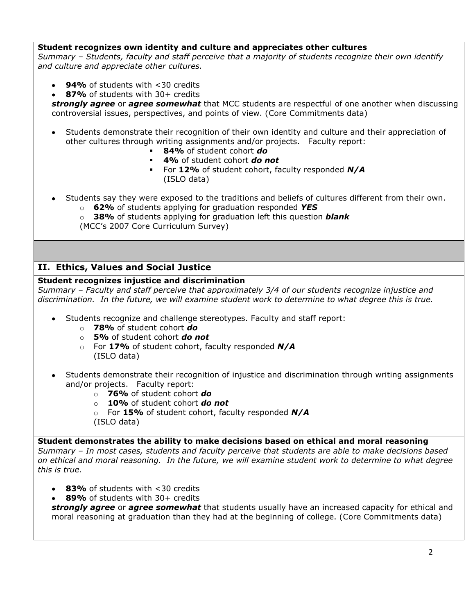### **Student recognizes own identity and culture and appreciates other cultures**

*Summary – Students, faculty and staff perceive that a majority of students recognize their own identify and culture and appreciate other cultures.*

- **94%** of students with <30 credits
- **87%** of students with 30+ credits

*strongly agree* or *agree somewhat* that MCC students are respectful of one another when discussing controversial issues, perspectives, and points of view. (Core Commitments data)

- Students demonstrate their recognition of their own identity and culture and their appreciation of other cultures through writing assignments and/or projects. Faculty report:
	- **84%** of student cohort *do*
	- **4%** of student cohort *do not*
	- For **12%** of student cohort, faculty responded *N/A* (ISLO data)
- Students say they were exposed to the traditions and beliefs of cultures different from their own.
	- o **62%** of students applying for graduation responded *YES*

o **38%** of students applying for graduation left this question *blank* (MCC's 2007 Core Curriculum Survey)

# **II. Ethics, Values and Social Justice**

# **Student recognizes injustice and discrimination**

*Summary – Faculty and staff perceive that approximately 3/4 of our students recognize injustice and discrimination. In the future, we will examine student work to determine to what degree this is true.*

- Students recognize and challenge stereotypes. Faculty and staff report:
	- o **78%** of student cohort *do*
	- o **5%** of student cohort *do not*
	- o For **17%** of student cohort, faculty responded *N/A* (ISLO data)
- Students demonstrate their recognition of injustice and discrimination through writing assignments and/or projects. Faculty report:
	- o **76%** of student cohort *do*
	- o **10%** of student cohort *do not*
	- o For **15%** of student cohort, faculty responded *N/A*
	- (ISLO data)

#### **Student demonstrates the ability to make decisions based on ethical and moral reasoning**

*Summary – In most cases, students and faculty perceive that students are able to make decisions based on ethical and moral reasoning. In the future, we will examine student work to determine to what degree this is true.*

- **83%** of students with <30 credits
- **89%** of students with 30+ credits

*strongly agree* or *agree somewhat* that students usually have an increased capacity for ethical and moral reasoning at graduation than they had at the beginning of college. (Core Commitments data)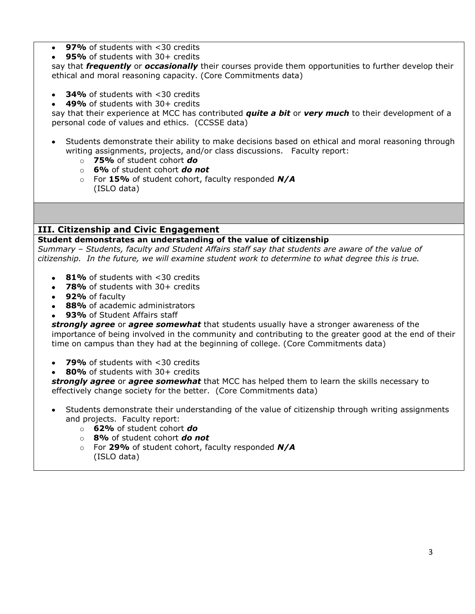- **97%** of students with <30 credits
- **95%** of students with 30+ credits

say that *frequently* or *occasionally* their courses provide them opportunities to further develop their ethical and moral reasoning capacity. (Core Commitments data)

- **34%** of students with <30 credits
- **49%** of students with 30+ credits

say that their experience at MCC has contributed *quite a bit* or *very much* to their development of a personal code of values and ethics. (CCSSE data)

- Students demonstrate their ability to make decisions based on ethical and moral reasoning through writing assignments, projects, and/or class discussions. Faculty report:
	- o **75%** of student cohort *do*
	- o **6%** of student cohort *do not*
	- o For **15%** of student cohort, faculty responded *N/A* (ISLO data)

# **III. Citizenship and Civic Engagement**

### **Student demonstrates an understanding of the value of citizenship**

*Summary – Students, faculty and Student Affairs staff say that students are aware of the value of citizenship. In the future, we will examine student work to determine to what degree this is true.*

- 81% of students with <30 credits
- **78%** of students with 30+ credits
- **92%** of faculty
- **88%** of academic administrators
- **93%** of Student Affairs staff

*strongly agree* or *agree somewhat* that students usually have a stronger awareness of the importance of being involved in the community and contributing to the greater good at the end of their time on campus than they had at the beginning of college. (Core Commitments data)

- **79%** of students with <30 credits
- $\bullet$ **80%** of students with 30+ credits

*strongly agree* or *agree somewhat* that MCC has helped them to learn the skills necessary to effectively change society for the better. (Core Commitments data)

- Students demonstrate their understanding of the value of citizenship through writing assignments and projects. Faculty report:
	- o **62%** of student cohort *do*
	- o **8%** of student cohort *do not*
	- o For **29%** of student cohort, faculty responded *N/A* (ISLO data)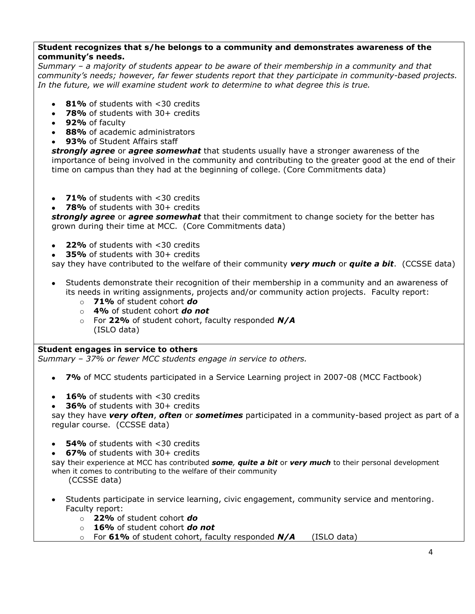# **Student recognizes that s/he belongs to a community and demonstrates awareness of the community's needs.**

*Summary – a majority of students appear to be aware of their membership in a community and that community's needs; however, far fewer students report that they participate in community-based projects. In the future, we will examine student work to determine to what degree this is true.*

- **81%** of students with <30 credits
- **78%** of students with 30+ credits
- **92%** of faculty
- **88%** of academic administrators
- **93%** of Student Affairs staff

*strongly agree* or *agree somewhat* that students usually have a stronger awareness of the importance of being involved in the community and contributing to the greater good at the end of their time on campus than they had at the beginning of college. (Core Commitments data)

- **71%** of students with <30 credits
- **78%** of students with 30+ credits

*strongly agree* or *agree somewhat* that their commitment to change society for the better has grown during their time at MCC. (Core Commitments data)

- **22%** of students with <30 credits
- **35%** of students with 30+ credits

say they have contributed to the welfare of their community *very much* or *quite a bit*. (CCSSE data)

- Students demonstrate their recognition of their membership in a community and an awareness of its needs in writing assignments, projects and/or community action projects. Faculty report:
	- o **71%** of student cohort *do*
	- o **4%** of student cohort *do not*
	- o For **22%** of student cohort, faculty responded *N/A* (ISLO data)

#### **Student engages in service to others**

*Summary – 37% or fewer MCC students engage in service to others.*

- **7%** of MCC students participated in a Service Learning project in 2007-08 (MCC Factbook)
- **16%** of students with <30 credits
- **36%** of students with 30+ credits

say they have *very often*, *often* or *sometimes* participated in a community-based project as part of a regular course. (CCSSE data)

- **54%** of students with <30 credits
- **67%** of students with 30+ credits

say their experience at MCC has contributed *some, quite a bit* or *very much* to their personal development when it comes to contributing to the welfare of their community

(CCSSE data)

- Students participate in service learning, civic engagement, community service and mentoring. Faculty report:
	- o **22%** of student cohort *do*
	- o **16%** of student cohort *do not*
	- o For **61%** of student cohort, faculty responded *N/A* (ISLO data)